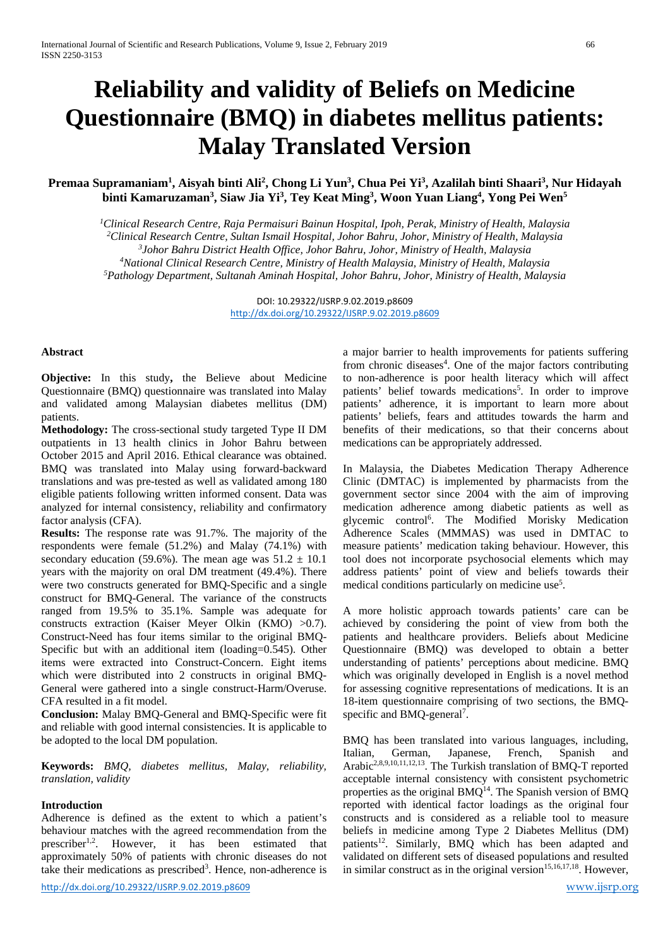# **Reliability and validity of Beliefs on Medicine Questionnaire (BMQ) in diabetes mellitus patients: Malay Translated Version**

# **Premaa Supramaniam<sup>1</sup>, Aisyah binti Ali<sup>2</sup>, Chong Li Yun<sup>3</sup>, Chua Pei Yi<sup>3</sup>, Azalilah binti Shaari<sup>3</sup>, Nur Hidayah binti Kamaruzaman3 , Siaw Jia Yi3 , Tey Keat Ming3 , Woon Yuan Liang4 , Yong Pei Wen5**

 *Clinical Research Centre, Raja Permaisuri Bainun Hospital, Ipoh, Perak, Ministry of Health, Malaysia Clinical Research Centre, Sultan Ismail Hospital, Johor Bahru, Johor, Ministry of Health, Malaysia Johor Bahru District Health Office, Johor Bahru, Johor, Ministry of Health, Malaysia National Clinical Research Centre, Ministry of Health Malaysia, Ministry of Health, Malaysia Pathology Department, Sultanah Aminah Hospital, Johor Bahru, Johor, Ministry of Health, Malaysia*

> DOI: 10.29322/IJSRP.9.02.2019.p8609 <http://dx.doi.org/10.29322/IJSRP.9.02.2019.p8609>

#### **Abstract**

**Objective:** In this study**,** the Believe about Medicine Questionnaire (BMQ) questionnaire was translated into Malay and validated among Malaysian diabetes mellitus (DM) patients.

**Methodology:** The cross-sectional study targeted Type II DM outpatients in 13 health clinics in Johor Bahru between October 2015 and April 2016. Ethical clearance was obtained. BMQ was translated into Malay using forward-backward translations and was pre-tested as well as validated among 180 eligible patients following written informed consent. Data was analyzed for internal consistency, reliability and confirmatory factor analysis (CFA).

**Results:** The response rate was 91.7%. The majority of the respondents were female (51.2%) and Malay (74.1%) with secondary education (59.6%). The mean age was  $51.2 \pm 10.1$ years with the majority on oral DM treatment (49.4%). There were two constructs generated for BMQ-Specific and a single construct for BMQ-General. The variance of the constructs ranged from 19.5% to 35.1%. Sample was adequate for constructs extraction (Kaiser Meyer Olkin (KMO) >0.7). Construct-Need has four items similar to the original BMQ-Specific but with an additional item (loading=0.545). Other items were extracted into Construct-Concern. Eight items which were distributed into 2 constructs in original BMQ-General were gathered into a single construct-Harm/Overuse. CFA resulted in a fit model.

**Conclusion:** Malay BMQ-General and BMQ-Specific were fit and reliable with good internal consistencies. It is applicable to be adopted to the local DM population.

**Keywords:** *BMQ, diabetes mellitus, Malay, reliability, translation, validity*

#### **Introduction**

Adherence is defined as the extent to which a patient's behaviour matches with the agreed recommendation from the prescriber1,2. However, it has been estimated that approximately 50% of patients with chronic diseases do not take their medications as prescribed<sup>3</sup>. Hence, non-adherence is

<http://dx.doi.org/10.29322/IJSRP.9.02.2019.p8609> [www.ijsrp.org](http://ijsrp.org/)

a major barrier to health improvements for patients suffering from chronic diseases<sup>4</sup>. One of the major factors contributing to non-adherence is poor health literacy which will affect patients' belief towards medications<sup>5</sup>. In order to improve patients' adherence, it is important to learn more about patients' beliefs, fears and attitudes towards the harm and benefits of their medications, so that their concerns about medications can be appropriately addressed.

In Malaysia, the Diabetes Medication Therapy Adherence Clinic (DMTAC) is implemented by pharmacists from the government sector since 2004 with the aim of improving medication adherence among diabetic patients as well as glycemic control<sup>6</sup>. The Modified Morisky Medication Adherence Scales (MMMAS) was used in DMTAC to measure patients' medication taking behaviour. However, this tool does not incorporate psychosocial elements which may address patients' point of view and beliefs towards their medical conditions particularly on medicine use<sup>5</sup>.

A more holistic approach towards patients' care can be achieved by considering the point of view from both the patients and healthcare providers. Beliefs about Medicine Questionnaire (BMQ) was developed to obtain a better understanding of patients' perceptions about medicine. BMQ which was originally developed in English is a novel method for assessing cognitive representations of medications. It is an 18-item questionnaire comprising of two sections, the BMQspecific and BMQ-general<sup>7</sup>.

BMQ has been translated into various languages, including, Italian. German. Japanese. French. Spanish and Japanese, French, Spanish and Arabic<sup>2,8,9,10,11,12,13</sup>. The Turkish translation of BMQ-T reported acceptable internal consistency with consistent psychometric properties as the original  $BMO<sup>14</sup>$ . The Spanish version of  $BMO$ reported with identical factor loadings as the original four constructs and is considered as a reliable tool to measure beliefs in medicine among Type 2 Diabetes Mellitus (DM) patients<sup>12</sup>. Similarly, BMQ which has been adapted and validated on different sets of diseased populations and resulted in similar construct as in the original version<sup>15,16,17,18</sup>. However,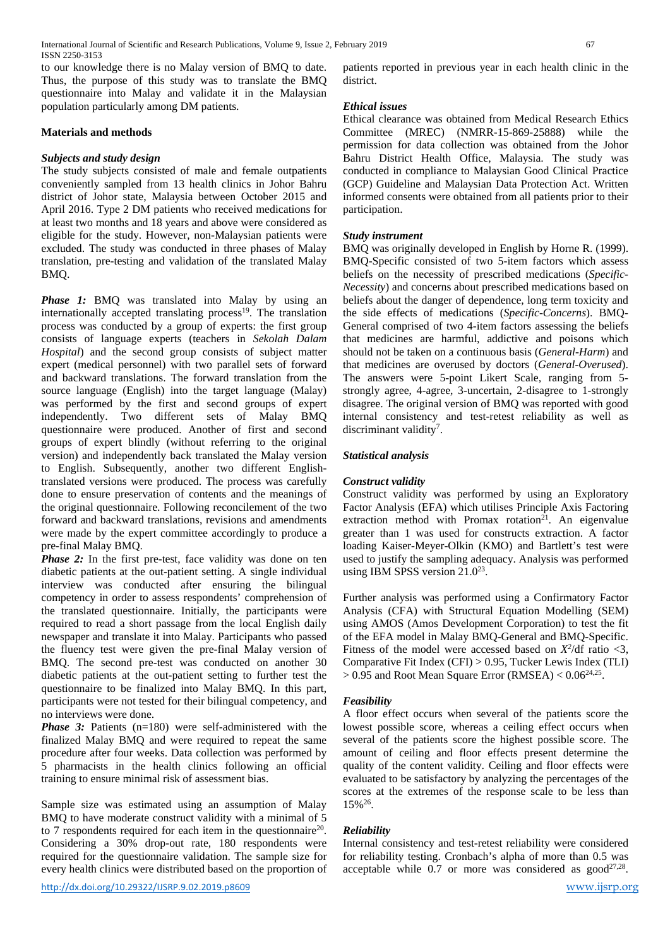to our knowledge there is no Malay version of BMQ to date. Thus, the purpose of this study was to translate the BMQ questionnaire into Malay and validate it in the Malaysian population particularly among DM patients.

#### **Materials and methods**

## *Subjects and study design*

The study subjects consisted of male and female outpatients conveniently sampled from 13 health clinics in Johor Bahru district of Johor state, Malaysia between October 2015 and April 2016. Type 2 DM patients who received medications for at least two months and 18 years and above were considered as eligible for the study. However, non-Malaysian patients were excluded. The study was conducted in three phases of Malay translation, pre-testing and validation of the translated Malay BMQ.

*Phase 1:* BMQ was translated into Malay by using an internationally accepted translating process<sup>19</sup>. The translation process was conducted by a group of experts: the first group consists of language experts (teachers in *Sekolah Dalam Hospital*) and the second group consists of subject matter expert (medical personnel) with two parallel sets of forward and backward translations. The forward translation from the source language (English) into the target language (Malay) was performed by the first and second groups of expert independently. Two different sets of Malay BMQ questionnaire were produced. Another of first and second groups of expert blindly (without referring to the original version) and independently back translated the Malay version to English. Subsequently, another two different Englishtranslated versions were produced. The process was carefully done to ensure preservation of contents and the meanings of the original questionnaire. Following reconcilement of the two forward and backward translations, revisions and amendments were made by the expert committee accordingly to produce a pre-final Malay BMQ.

*Phase 2:* In the first pre-test, face validity was done on ten diabetic patients at the out-patient setting. A single individual interview was conducted after ensuring the bilingual competency in order to assess respondents' comprehension of the translated questionnaire. Initially, the participants were required to read a short passage from the local English daily newspaper and translate it into Malay. Participants who passed the fluency test were given the pre-final Malay version of BMQ. The second pre-test was conducted on another 30 diabetic patients at the out-patient setting to further test the questionnaire to be finalized into Malay BMQ. In this part, participants were not tested for their bilingual competency, and no interviews were done.

*Phase 3:* Patients (n=180) were self-administered with the finalized Malay BMQ and were required to repeat the same procedure after four weeks. Data collection was performed by 5 pharmacists in the health clinics following an official training to ensure minimal risk of assessment bias.

Sample size was estimated using an assumption of Malay BMQ to have moderate construct validity with a minimal of 5 to 7 respondents required for each item in the questionnaire<sup>20</sup>. Considering a 30% drop-out rate, 180 respondents were required for the questionnaire validation. The sample size for every health clinics were distributed based on the proportion of

patients reported in previous year in each health clinic in the district.

# *Ethical issues*

Ethical clearance was obtained from Medical Research Ethics Committee (MREC) (NMRR-15-869-25888) while the permission for data collection was obtained from the Johor Bahru District Health Office, Malaysia. The study was conducted in compliance to Malaysian Good Clinical Practice (GCP) Guideline and Malaysian Data Protection Act. Written informed consents were obtained from all patients prior to their participation.

# *Study instrument*

BMQ was originally developed in English by Horne R. (1999). BMQ-Specific consisted of two 5-item factors which assess beliefs on the necessity of prescribed medications (*Specific-Necessity*) and concerns about prescribed medications based on beliefs about the danger of dependence, long term toxicity and the side effects of medications (*Specific-Concerns*). BMQ-General comprised of two 4-item factors assessing the beliefs that medicines are harmful, addictive and poisons which should not be taken on a continuous basis (*General-Harm*) and that medicines are overused by doctors (*General-Overused*). The answers were 5-point Likert Scale, ranging from 5 strongly agree, 4-agree, 3-uncertain, 2-disagree to 1-strongly disagree. The original version of BMQ was reported with good internal consistency and test-retest reliability as well as discriminant validity<sup>7</sup>.

# *Statistical analysis*

# *Construct validity*

Construct validity was performed by using an Exploratory Factor Analysis (EFA) which utilises Principle Axis Factoring extraction method with Promax rotation $2^1$ . An eigenvalue greater than 1 was used for constructs extraction. A factor loading Kaiser-Meyer-Olkin (KMO) and Bartlett's test were used to justify the sampling adequacy. Analysis was performed using IBM SPSS version 21.0<sup>23</sup>.

Further analysis was performed using a Confirmatory Factor Analysis (CFA) with Structural Equation Modelling (SEM) using AMOS (Amos Development Corporation) to test the fit of the EFA model in Malay BMQ-General and BMQ-Specific. Fitness of the model were accessed based on  $X^2/df$  ratio <3, Comparative Fit Index (CFI) > 0.95, Tucker Lewis Index (TLI)  $> 0.95$  and Root Mean Square Error (RMSEA)  $< 0.06^{24,25}$ .

# *Feasibility*

A floor effect occurs when several of the patients score the lowest possible score, whereas a ceiling effect occurs when several of the patients score the highest possible score. The amount of ceiling and floor effects present determine the quality of the content validity. Ceiling and floor effects were evaluated to be satisfactory by analyzing the percentages of the scores at the extremes of the response scale to be less than 15%26.

# *Reliability*

Internal consistency and test-retest reliability were considered for reliability testing. Cronbach's alpha of more than 0.5 was acceptable while  $0.7$  or more was considered as  $\text{good}^{27,28}$ .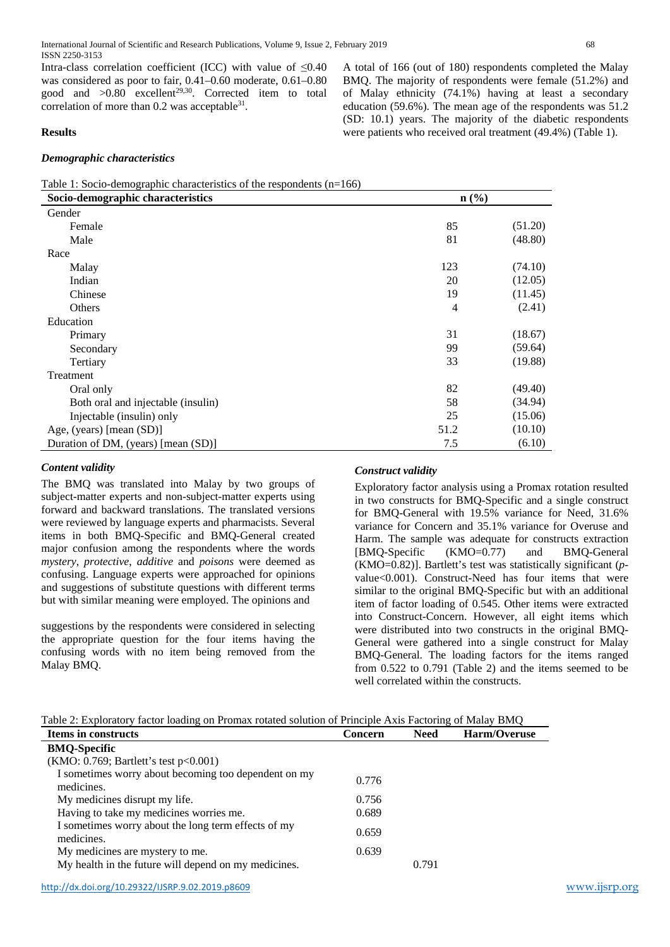International Journal of Scientific and Research Publications, Volume 9, Issue 2, February 2019 68 ISSN 2250-3153

Intra-class correlation coefficient (ICC) with value of  $\leq 0.40$ was considered as poor to fair, 0.41–0.60 moderate, 0.61–0.80 good and  $>0.80$  excellent<sup>29,30</sup>. Corrected item to total correlation of more than  $0.2$  was acceptable<sup>31</sup>.

#### **Results**

#### *Demographic characteristics*

A total of 166 (out of 180) respondents completed the Malay BMQ. The majority of respondents were female (51.2%) and of Malay ethnicity (74.1%) having at least a secondary education (59.6%). The mean age of the respondents was 51.2 (SD: 10.1) years. The majority of the diabetic respondents were patients who received oral treatment (49.4%) (Table 1).

| Table 1: Socio-demographic characteristics of the respondents $(n=166)$ |  |
|-------------------------------------------------------------------------|--|
|-------------------------------------------------------------------------|--|

| Socio-demographic characteristics<br>$n\left(\frac{9}{6}\right)$ |      |         |
|------------------------------------------------------------------|------|---------|
| Gender                                                           |      |         |
| Female                                                           | 85   | (51.20) |
| Male                                                             | 81   | (48.80) |
| Race                                                             |      |         |
| Malay                                                            | 123  | (74.10) |
| Indian                                                           | 20   | (12.05) |
| Chinese                                                          | 19   | (11.45) |
| Others                                                           | 4    | (2.41)  |
| Education                                                        |      |         |
| Primary                                                          | 31   | (18.67) |
| Secondary                                                        | 99   | (59.64) |
| Tertiary                                                         | 33   | (19.88) |
| Treatment                                                        |      |         |
| Oral only                                                        | 82   | (49.40) |
| Both oral and injectable (insulin)                               | 58   | (34.94) |
| Injectable (insulin) only                                        | 25   | (15.06) |
| Age, (years) [mean (SD)]                                         | 51.2 | (10.10) |
| Duration of DM, (years) [mean (SD)]                              | 7.5  | (6.10)  |

#### *Content validity*

The BMQ was translated into Malay by two groups of subject-matter experts and non-subject-matter experts using forward and backward translations. The translated versions were reviewed by language experts and pharmacists. Several items in both BMQ-Specific and BMQ-General created major confusion among the respondents where the words *mystery*, *protective*, *additive* and *poisons* were deemed as confusing. Language experts were approached for opinions and suggestions of substitute questions with different terms but with similar meaning were employed. The opinions and

suggestions by the respondents were considered in selecting the appropriate question for the four items having the confusing words with no item being removed from the Malay BMQ.

#### *Construct validity*

Exploratory factor analysis using a Promax rotation resulted in two constructs for BMQ-Specific and a single construct for BMQ-General with 19.5% variance for Need, 31.6% variance for Concern and 35.1% variance for Overuse and Harm. The sample was adequate for constructs extraction [BMQ-Specific (KMO=0.77) and BMQ-General (KMO=0.82)]. Bartlett's test was statistically significant (*p*value<0.001). Construct-Need has four items that were similar to the original BMQ-Specific but with an additional item of factor loading of 0.545. Other items were extracted into Construct-Concern. However, all eight items which were distributed into two constructs in the original BMQ-General were gathered into a single construct for Malay BMQ-General. The loading factors for the items ranged from 0.522 to 0.791 (Table 2) and the items seemed to be well correlated within the constructs.

| <b>Items in constructs</b>                                         | <b>Concern</b> | <b>Need</b> | Harm/Overuse |
|--------------------------------------------------------------------|----------------|-------------|--------------|
| <b>BMQ-Specific</b>                                                |                |             |              |
| (KMO: 0.769; Bartlett's test $p<0.001$ )                           |                |             |              |
| I sometimes worry about becoming too dependent on my<br>medicines. | 0.776          |             |              |
| My medicines disrupt my life.                                      | 0.756          |             |              |
| Having to take my medicines worries me.                            | 0.689          |             |              |
| I sometimes worry about the long term effects of my<br>medicines.  | 0.659          |             |              |
| My medicines are mystery to me.                                    | 0.639          |             |              |
| My health in the future will depend on my medicines.               |                | 0.791       |              |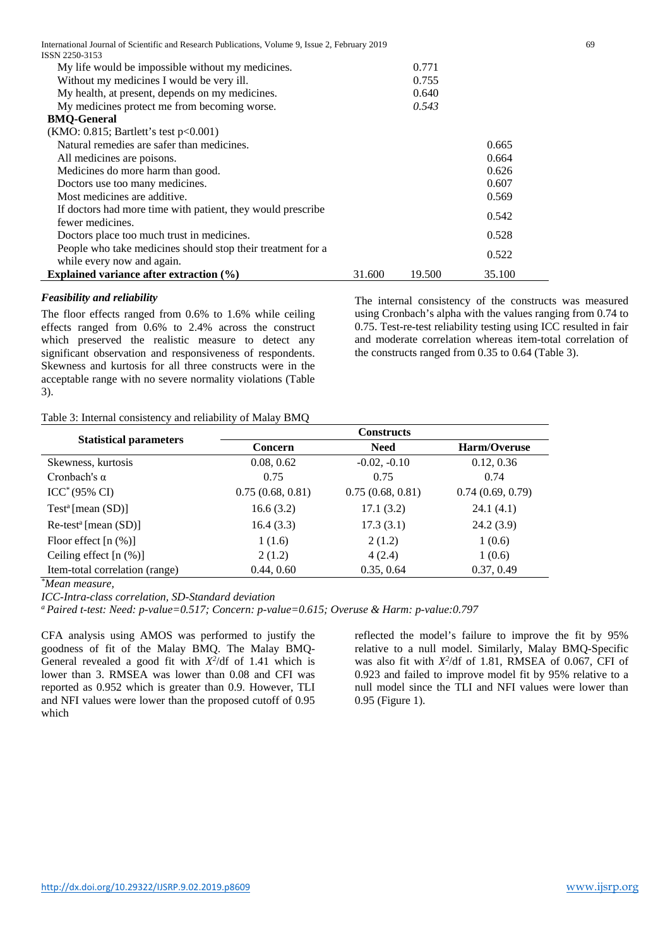| International Journal of Scientific and Research Publications, Volume 9, Issue 2, February 2019<br>ISSN 2250-3153 |        |        |        | 69 |
|-------------------------------------------------------------------------------------------------------------------|--------|--------|--------|----|
| My life would be impossible without my medicines.                                                                 |        | 0.771  |        |    |
| Without my medicines I would be very ill.                                                                         |        | 0.755  |        |    |
| My health, at present, depends on my medicines.                                                                   |        | 0.640  |        |    |
| My medicines protect me from becoming worse.                                                                      |        | 0.543  |        |    |
| <b>BMQ-General</b>                                                                                                |        |        |        |    |
| (KMO: 0.815; Bartlett's test $p<0.001$ )                                                                          |        |        |        |    |
| Natural remedies are safer than medicines.                                                                        |        |        | 0.665  |    |
| All medicines are poisons.                                                                                        |        |        | 0.664  |    |
| Medicines do more harm than good.                                                                                 |        |        | 0.626  |    |
| Doctors use too many medicines.                                                                                   |        |        | 0.607  |    |
| Most medicines are additive.                                                                                      |        |        | 0.569  |    |
| If doctors had more time with patient, they would prescribe                                                       |        |        | 0.542  |    |
| fewer medicines.                                                                                                  |        |        |        |    |
| Doctors place too much trust in medicines.                                                                        |        |        | 0.528  |    |
| People who take medicines should stop their treatment for a                                                       |        |        | 0.522  |    |
| while every now and again.                                                                                        |        |        |        |    |
| Explained variance after extraction $(\% )$                                                                       | 31.600 | 19.500 | 35.100 |    |

#### *Feasibility and reliability*

The floor effects ranged from 0.6% to 1.6% while ceiling effects ranged from 0.6% to 2.4% across the construct which preserved the realistic measure to detect any significant observation and responsiveness of respondents. Skewness and kurtosis for all three constructs were in the acceptable range with no severe normality violations (Table 3).

## The internal consistency of the constructs was measured using Cronbach's alpha with the values ranging from 0.74 to 0.75. Test-re-test reliability testing using ICC resulted in fair and moderate correlation whereas item-total correlation of the constructs ranged from 0.35 to 0.64 (Table 3).

#### Table 3: Internal consistency and reliability of Malay BMQ

|                                | <b>Constructs</b> |                  |                  |  |  |
|--------------------------------|-------------------|------------------|------------------|--|--|
| <b>Statistical parameters</b>  | <b>Concern</b>    | <b>Need</b>      | Harm/Overuse     |  |  |
| Skewness, kurtosis             | 0.08, 0.62        | $-0.02, -0.10$   | 0.12, 0.36       |  |  |
| Cronbach's $\alpha$            | 0.75              | 0.75             | 0.74             |  |  |
| $ICC^*(95\% CI)$               | 0.75(0.68, 0.81)  | 0.75(0.68, 0.81) | 0.74(0.69, 0.79) |  |  |
| $Test^a$ [mean $(SD)$ ]        | 16.6(3.2)         | 17.1(3.2)        | 24.1(4.1)        |  |  |
| $Re-test^a$ [mean $(SD)$ ]     | 16.4(3.3)         | 17.3(3.1)        | 24.2(3.9)        |  |  |
| Floor effect $[n (\%)]$        | 1(1.6)            | 2(1.2)           | 1(0.6)           |  |  |
| Ceiling effect $[n (\%)]$      | 2(1.2)            | 4(2.4)           | 1(0.6)           |  |  |
| Item-total correlation (range) | 0.44, 0.60        | 0.35, 0.64       | 0.37, 0.49       |  |  |

*\* Mean measure,* 

*ICC-Intra-class correlation, SD-Standard deviation*

*a Paired t-test: Need: p-value=0.517; Concern: p-value=0.615; Overuse & Harm: p-value:0.797*

CFA analysis using AMOS was performed to justify the goodness of fit of the Malay BMQ. The Malay BMQ-General revealed a good fit with  $X^2/df$  of 1.41 which is lower than 3. RMSEA was lower than 0.08 and CFI was reported as 0.952 which is greater than 0.9. However, TLI and NFI values were lower than the proposed cutoff of 0.95 which

reflected the model's failure to improve the fit by 95% relative to a null model. Similarly, Malay BMQ-Specific was also fit with *X2* /df of 1.81, RMSEA of 0.067, CFI of 0.923 and failed to improve model fit by 95% relative to a null model since the TLI and NFI values were lower than 0.95 (Figure 1).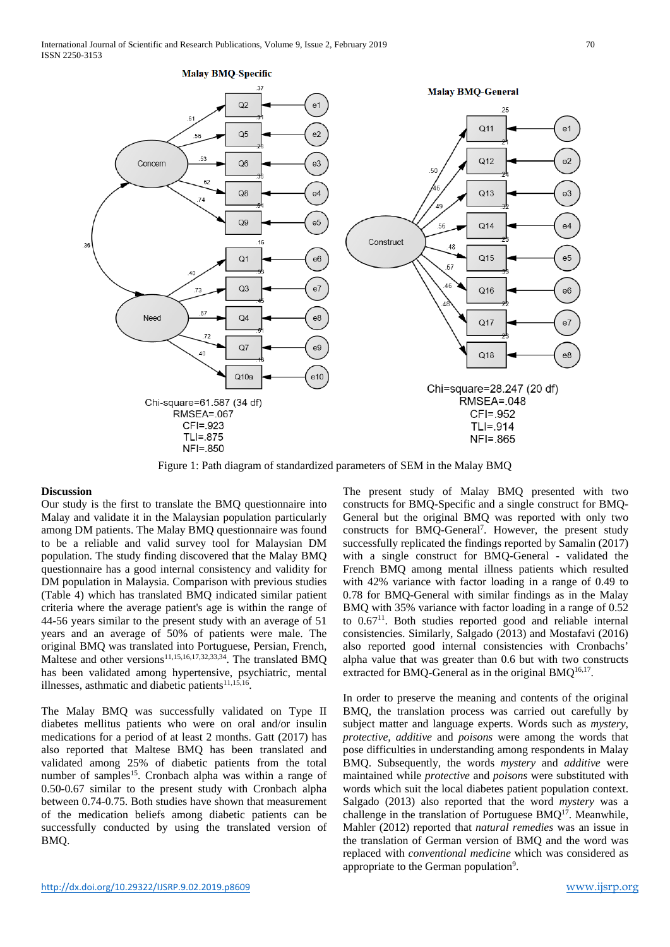

Figure 1: Path diagram of standardized parameters of SEM in the Malay BMQ

#### **Discussion**

Our study is the first to translate the BMQ questionnaire into Malay and validate it in the Malaysian population particularly among DM patients. The Malay BMQ questionnaire was found to be a reliable and valid survey tool for Malaysian DM population. The study finding discovered that the Malay BMQ questionnaire has a good internal consistency and validity for DM population in Malaysia. Comparison with previous studies (Table 4) which has translated BMQ indicated similar patient criteria where the average patient's age is within the range of 44-56 years similar to the present study with an average of 51 years and an average of 50% of patients were male. The original BMQ was translated into Portuguese, Persian, French, Maltese and other versions<sup>11,15,16,17,32,33,34</sup>. The translated BMO has been validated among hypertensive, psychiatric, mental illnesses, asthmatic and diabetic patients $11,15,16$ .

The Malay BMQ was successfully validated on Type II diabetes mellitus patients who were on oral and/or insulin medications for a period of at least 2 months. Gatt (2017) has also reported that Maltese BMQ has been translated and validated among 25% of diabetic patients from the total number of samples<sup>15</sup>. Cronbach alpha was within a range of 0.50-0.67 similar to the present study with Cronbach alpha between 0.74-0.75. Both studies have shown that measurement of the medication beliefs among diabetic patients can be successfully conducted by using the translated version of BMQ.

The present study of Malay BMQ presented with two constructs for BMQ-Specific and a single construct for BMQ-General but the original BMQ was reported with only two constructs for BMQ-General<sup>7</sup>. However, the present study successfully replicated the findings reported by Samalin (2017) with a single construct for BMQ-General - validated the French BMQ among mental illness patients which resulted with 42% variance with factor loading in a range of 0.49 to 0.78 for BMQ-General with similar findings as in the Malay BMQ with 35% variance with factor loading in a range of 0.52 to 0.6711. Both studies reported good and reliable internal consistencies. Similarly, Salgado (2013) and Mostafavi (2016) also reported good internal consistencies with Cronbachs' alpha value that was greater than 0.6 but with two constructs extracted for BMQ-General as in the original BMQ $16,17$ .

In order to preserve the meaning and contents of the original BMQ, the translation process was carried out carefully by subject matter and language experts. Words such as *mystery, protective, additive* and *poisons* were among the words that pose difficulties in understanding among respondents in Malay BMQ. Subsequently, the words *mystery* and *additive* were maintained while *protective* and *poisons* were substituted with words which suit the local diabetes patient population context. Salgado (2013) also reported that the word *mystery* was a challenge in the translation of Portuguese BMQ<sup>17</sup>. Meanwhile, Mahler (2012) reported that *natural remedies* was an issue in the translation of German version of BMQ and the word was replaced with *conventional medicine* which was considered as appropriate to the German population<sup>9</sup>.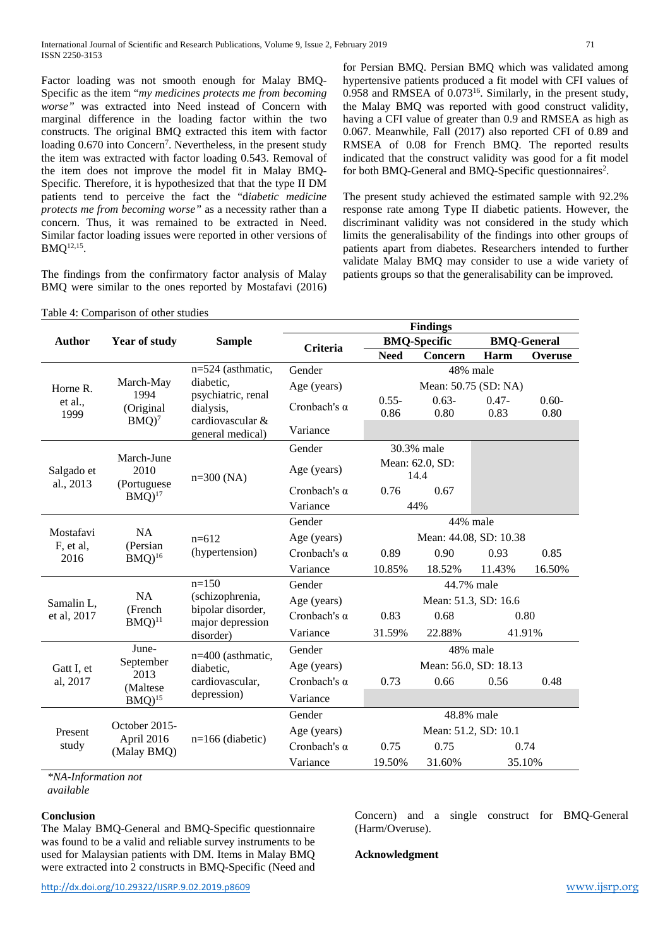Factor loading was not smooth enough for Malay BMQ-Specific as the item "*my medicines protects me from becoming worse"* was extracted into Need instead of Concern with marginal difference in the loading factor within the two constructs. The original BMQ extracted this item with factor loading 0.670 into Concern<sup>7</sup>. Nevertheless, in the present study the item was extracted with factor loading 0.543. Removal of the item does not improve the model fit in Malay BMQ-Specific. Therefore, it is hypothesized that that the type II DM patients tend to perceive the fact the "d*iabetic medicine protects me from becoming worse"* as a necessity rather than a concern. Thus, it was remained to be extracted in Need. Similar factor loading issues were reported in other versions of BMQ12,15.

The findings from the confirmatory factor analysis of Malay BMQ were similar to the ones reported by Mostafavi (2016) for Persian BMQ. Persian BMQ which was validated among hypertensive patients produced a fit model with CFI values of  $0.958$  and RMSEA of  $0.073^{16}$ . Similarly, in the present study, the Malay BMQ was reported with good construct validity, having a CFI value of greater than 0.9 and RMSEA as high as 0.067. Meanwhile, Fall (2017) also reported CFI of 0.89 and RMSEA of 0.08 for French BMQ. The reported results indicated that the construct validity was good for a fit model for both BMQ-General and BMQ-Specific questionnaires<sup>2</sup>.

The present study achieved the estimated sample with 92.2% response rate among Type II diabetic patients. However, the discriminant validity was not considered in the study which limits the generalisability of the findings into other groups of patients apart from diabetes. Researchers intended to further validate Malay BMQ may consider to use a wide variety of patients groups so that the generalisability can be improved.

Concern) and a single construct for BMQ-General

|                                               |                                                    |                                 | <b>Findings</b>     |                         |          |                    |         |
|-----------------------------------------------|----------------------------------------------------|---------------------------------|---------------------|-------------------------|----------|--------------------|---------|
| <b>Author</b>                                 | <b>Year of study</b>                               | <b>Sample</b>                   | Criteria            | <b>BMQ-Specific</b>     |          | <b>BMQ-General</b> |         |
|                                               |                                                    |                                 |                     | <b>Need</b>             | Concern  | Harm               | Overuse |
|                                               |                                                    | $n=524$ (asthmatic,             | Gender              |                         | 48% male |                    |         |
| Horne R.                                      | March-May                                          | diabetic,                       | Age (years)         | Mean: 50.75 (SD: NA)    |          |                    |         |
| et al.,                                       | 1994                                               | psychiatric, renal<br>dialysis, | Cronbach's $\alpha$ | $0.55 -$                | $0.63 -$ | $0.47 -$           | $0.60-$ |
| 1999                                          | (Original<br>$BMO$ <sup>7</sup>                    | cardiovascular &                |                     | 0.86                    | 0.80     | 0.83               | 0.80    |
|                                               |                                                    | general medical)                | Variance            |                         |          |                    |         |
|                                               |                                                    |                                 | Gender              | 30.3% male              |          |                    |         |
| Salgado et                                    | March-June<br>2010                                 | $n=300$ (NA)                    | Age (years)         | Mean: 62.0, SD:<br>14.4 |          |                    |         |
| al., 2013                                     | (Portuguese<br>$BMQ$ <sup>17</sup>                 |                                 | Cronbach's $\alpha$ | 0.76                    | 0.67     |                    |         |
|                                               |                                                    |                                 | Variance            | 44%                     |          |                    |         |
|                                               |                                                    |                                 | Gender              | 44% male                |          |                    |         |
| Mostafavi                                     | <b>NA</b>                                          | $n=612$                         | Age (years)         | Mean: 44.08, SD: 10.38  |          |                    |         |
| F, et al,<br>2016                             | (Persian<br>$BMO$ <sup>16</sup>                    | (hypertension)                  | Cronbach's $\alpha$ | 0.89                    | 0.90     | 0.93               | 0.85    |
|                                               |                                                    |                                 | Variance            | 10.85%                  | 18.52%   | 11.43%             | 16.50%  |
|                                               |                                                    | $n=150$                         | Gender              | 44.7% male              |          |                    |         |
| Samalin L,                                    | <b>NA</b>                                          | (schizophrenia,                 | Age (years)         | Mean: 51.3, SD: 16.6    |          |                    |         |
| (French<br>et al, 2017<br>$BMO$ <sup>11</sup> | bipolar disorder,<br>major depression<br>disorder) | Cronbach's $\alpha$             | 0.83                | 0.68                    |          | 0.80               |         |
|                                               |                                                    | Variance                        | 31.59%              | 22.88%                  |          | 41.91%             |         |
|                                               | June-                                              | n=400 (asthmatic,               | Gender              | 48% male                |          |                    |         |
| Gatt I, et                                    | September                                          | diabetic.                       | Age (years)         | Mean: 56.0, SD: 18.13   |          |                    |         |
| al, 2017                                      | 2013<br>(Maltese                                   | cardiovascular,                 | Cronbach's $\alpha$ | 0.73                    | 0.66     | 0.56               | 0.48    |
|                                               | $BMQ$ <sup>15</sup>                                | depression)                     | Variance            |                         |          |                    |         |
|                                               |                                                    |                                 | Gender              | 48.8% male              |          |                    |         |
| Present                                       | October 2015-                                      | $n=166$ (diabetic)              | Age (years)         | Mean: 51.2, SD: 10.1    |          |                    |         |
| study                                         | April 2016<br>(Malay BMQ)                          |                                 | Cronbach's $\alpha$ | 0.75                    | 0.75     |                    | 0.74    |
|                                               |                                                    |                                 | Variance            | 19.50%                  | 31.60%   |                    | 35.10%  |

Table 4: Comparison of other studies

*\*NA-Information not* 

*available*

# **Conclusion**

The Malay BMQ-General and BMQ-Specific questionnaire was found to be a valid and reliable survey instruments to be used for Malaysian patients with DM. Items in Malay BMQ were extracted into 2 constructs in BMQ-Specific (Need and (Harm/Overuse).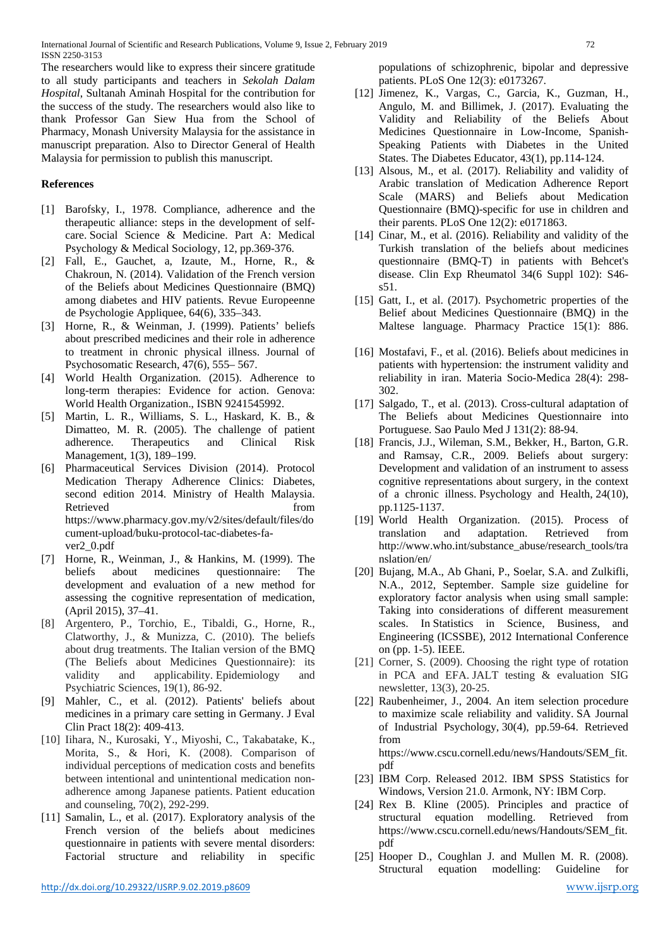The researchers would like to express their sincere gratitude to all study participants and teachers in *Sekolah Dalam Hospital*, Sultanah Aminah Hospital for the contribution for the success of the study. The researchers would also like to thank Professor Gan Siew Hua from the School of Pharmacy, Monash University Malaysia for the assistance in manuscript preparation. Also to Director General of Health Malaysia for permission to publish this manuscript.

# **References**

- [1] Barofsky, I., 1978. Compliance, adherence and the therapeutic alliance: steps in the development of selfcare. Social Science & Medicine. Part A: Medical Psychology & Medical Sociology, 12, pp.369-376.
- [2] Fall, E., Gauchet, a, Izaute, M., Horne, R., & Chakroun, N. (2014). Validation of the French version of the Beliefs about Medicines Questionnaire (BMQ) among diabetes and HIV patients. Revue Europeenne de Psychologie Appliquee, 64(6), 335–343.
- [3] Horne, R., & Weinman, J. (1999). Patients' beliefs about prescribed medicines and their role in adherence to treatment in chronic physical illness. Journal of Psychosomatic Research, 47(6), 555– 567.
- [4] World Health Organization. (2015). Adherence to long-term therapies: Evidence for action. Genova: World Health Organization., ISBN 9241545992.
- [5] Martin, L. R., Williams, S. L., Haskard, K. B., & Dimatteo, M. R. (2005). The challenge of patient adherence. Therapeutics and Clinical Risk Management, 1(3), 189–199.
- [6] Pharmaceutical Services Division (2014). Protocol Medication Therapy Adherence Clinics: Diabetes, second edition 2014. Ministry of Health Malaysia. Retrieved from the state of  $\sim$ [https://www.pharmacy.gov.my/v2/sites/default/files/do](https://www.pharmacy.gov.my/v2/sites/default/files/document-upload/buku-protocol-tac-diabetes-fa-ver2_0.pdf) [cument-upload/buku-protocol-tac-diabetes-fa](https://www.pharmacy.gov.my/v2/sites/default/files/document-upload/buku-protocol-tac-diabetes-fa-ver2_0.pdf)[ver2\\_0.pdf](https://www.pharmacy.gov.my/v2/sites/default/files/document-upload/buku-protocol-tac-diabetes-fa-ver2_0.pdf)
- [7] Horne, R., Weinman, J., & Hankins, M. (1999). The beliefs about medicines questionnaire: The development and evaluation of a new method for assessing the cognitive representation of medication, (April 2015), 37–41.
- [8] Argentero, P., Torchio, E., Tibaldi, G., Horne, R., Clatworthy, J., & Munizza, C. (2010). The beliefs about drug treatments. The Italian version of the BMQ (The Beliefs about Medicines Questionnaire): its validity and applicability. Epidemiology and Psychiatric Sciences, 19(1), 86-92.
- [9] Mahler, C., et al. (2012). Patients' beliefs about medicines in a primary care setting in Germany. J Eval Clin Pract 18(2): 409-413.
- [10] Iihara, N., Kurosaki, Y., Miyoshi, C., Takabatake, K., Morita, S., & Hori, K. (2008). Comparison of individual perceptions of medication costs and benefits between intentional and unintentional medication nonadherence among Japanese patients. Patient education and counseling, 70(2), 292-299.
- [11] Samalin, L., et al. (2017). Exploratory analysis of the French version of the beliefs about medicines questionnaire in patients with severe mental disorders: Factorial structure and reliability in specific

populations of schizophrenic, bipolar and depressive patients. PLoS One 12(3): e0173267.

- [12] Jimenez, K., Vargas, C., Garcia, K., Guzman, H., Angulo, M. and Billimek, J. (2017). Evaluating the Validity and Reliability of the Beliefs About Medicines Questionnaire in Low-Income, Spanish-Speaking Patients with Diabetes in the United States. The Diabetes Educator, 43(1), pp.114-124.
- [13] Alsous, M., et al. (2017). Reliability and validity of Arabic translation of Medication Adherence Report Scale (MARS) and Beliefs about Medication Questionnaire (BMQ)-specific for use in children and their parents. PLoS One 12(2): e0171863.
- [14] Cinar, M., et al. (2016). Reliability and validity of the Turkish translation of the beliefs about medicines questionnaire (BMQ-T) in patients with Behcet's disease. Clin Exp Rheumatol 34(6 Suppl 102): S46 s51.
- [15] Gatt, I., et al. (2017). Psychometric properties of the Belief about Medicines Questionnaire (BMQ) in the Maltese language. Pharmacy Practice 15(1): 886.
- [16] Mostafavi, F., et al. (2016). Beliefs about medicines in patients with hypertension: the instrument validity and reliability in iran. Materia Socio-Medica 28(4): 298- 302.
- [17] Salgado, T., et al. (2013). Cross-cultural adaptation of The Beliefs about Medicines Questionnaire into Portuguese. Sao Paulo Med J 131(2): 88-94.
- [18] Francis, J.J., Wileman, S.M., Bekker, H., Barton, G.R. and Ramsay, C.R., 2009. Beliefs about surgery: Development and validation of an instrument to assess cognitive representations about surgery, in the context of a chronic illness. Psychology and Health, 24(10), pp.1125-1137.
- [19] World Health Organization. (2015). Process of translation and adaptation. Retrieved from [http://www.who.int/substance\\_abuse/research\\_tools/tra](http://www.who.int/substance_abuse/research_tools/translation/en/) [nslation/en/](http://www.who.int/substance_abuse/research_tools/translation/en/)
- [20] Bujang, M.A., Ab Ghani, P., Soelar, S.A. and Zulkifli, N.A., 2012, September. Sample size guideline for exploratory factor analysis when using small sample: Taking into considerations of different measurement scales. In Statistics in Science, Business, and Engineering (ICSSBE), 2012 International Conference on (pp. 1-5). IEEE.
- [21] Corner, S. (2009). Choosing the right type of rotation in PCA and EFA. JALT testing & evaluation SIG newsletter, 13(3), 20-25.
- [22] Raubenheimer, J., 2004. An item selection procedure to maximize scale reliability and validity. SA Journal of Industrial Psychology, 30(4), pp.59-64. Retrieved from [https://www.cscu.cornell.edu/news/Handouts/SEM\\_fit.](https://www.cscu.cornell.edu/news/Handouts/SEM_fit.pdf)

[pdf](https://www.cscu.cornell.edu/news/Handouts/SEM_fit.pdf) [23] IBM Corp. Released 2012. IBM SPSS Statistics for Windows, Version 21.0. Armonk, NY: IBM Corp.

- [24] Rex B. Kline (2005). Principles and practice of structural equation modelling. Retrieved from [https://www.cscu.cornell.edu/news/Handouts/SEM\\_fit.](https://www.cscu.cornell.edu/news/Handouts/SEM_fit.pdf) [pdf](https://www.cscu.cornell.edu/news/Handouts/SEM_fit.pdf)
- [25] Hooper D., Coughlan J. and Mullen M. R. (2008). Structural equation modelling: Guideline for